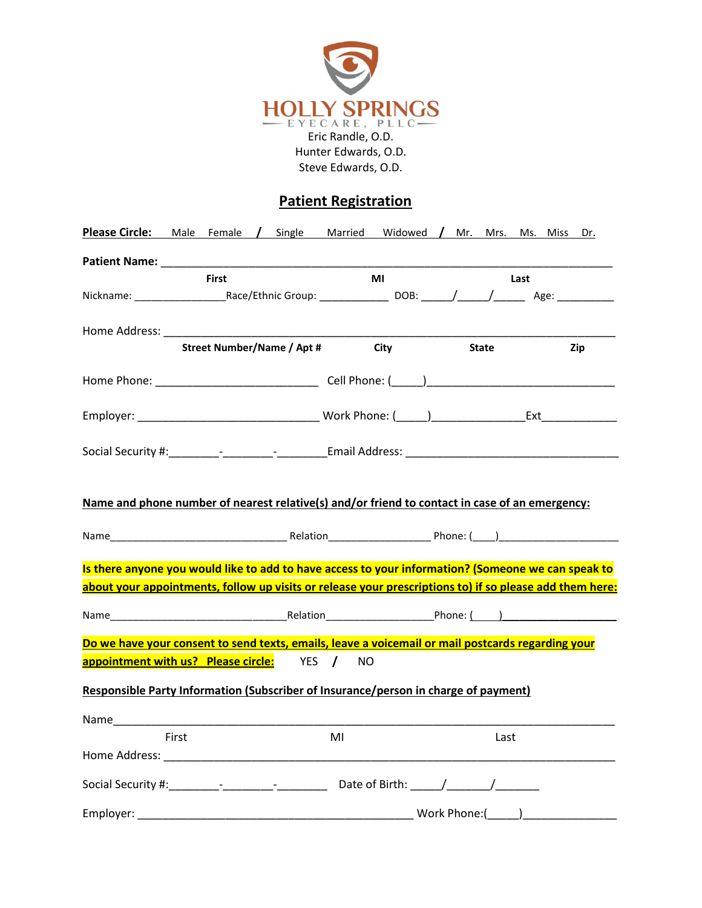

Steve Edwards, O.D.

### **Patient Registration**

|           | <b>Please Circle:</b> Male Female / Single Married Widowed / Mr. Mrs. Ms. Miss Dr.                                                                                                                                                  |    |             |                                  |     |
|-----------|-------------------------------------------------------------------------------------------------------------------------------------------------------------------------------------------------------------------------------------|----|-------------|----------------------------------|-----|
|           | <b>Patient Name:</b> The Contract of the Contract of the Contract of the Contract of the Contract of the Contract of the Contract of the Contract of the Contract of the Contract of the Contract of the Contract of the Contract o |    |             |                                  |     |
|           | <b>First</b>                                                                                                                                                                                                                        |    | MI          | Last                             |     |
|           |                                                                                                                                                                                                                                     |    |             |                                  |     |
|           | Home Address: North States and States and States and States and States and States and States and States and States and States and States and States and States and States and States and States and States and States and Stat      |    |             |                                  |     |
|           | <b>Street Number/Name / Apt #</b>                                                                                                                                                                                                   |    | <b>City</b> | <b>State</b>                     | Zip |
|           |                                                                                                                                                                                                                                     |    |             |                                  |     |
|           |                                                                                                                                                                                                                                     |    |             |                                  |     |
|           |                                                                                                                                                                                                                                     |    |             |                                  |     |
|           | Name and phone number of nearest relative(s) and/or friend to contact in case of an emergency:                                                                                                                                      |    |             |                                  |     |
|           | Is there anyone you would like to add to have access to your information? (Someone we can speak to                                                                                                                                  |    |             |                                  |     |
|           | about your appointments, follow up visits or release your prescriptions to) if so please add them here:                                                                                                                             |    |             |                                  |     |
|           |                                                                                                                                                                                                                                     |    |             |                                  |     |
|           | Do we have your consent to send texts, emails, leave a voicemail or mail postcards regarding your                                                                                                                                   |    |             |                                  |     |
|           | appointment with us? Please circle: YES / NO                                                                                                                                                                                        |    |             |                                  |     |
|           | Responsible Party Information (Subscriber of Insurance/person in charge of payment)                                                                                                                                                 |    |             |                                  |     |
|           |                                                                                                                                                                                                                                     |    |             |                                  |     |
|           | First                                                                                                                                                                                                                               | MI |             | Last                             |     |
|           | Home Address: North American State of the Address of the Address of the Address of the Address of the Address of the Address of the Address of the Address of the Address of the Address of the Address of the Address of the       |    |             |                                  |     |
|           |                                                                                                                                                                                                                                     |    |             |                                  |     |
| Employer: |                                                                                                                                                                                                                                     |    |             | Work Phone: $(\_\_\_\_\_\_\_\_\$ |     |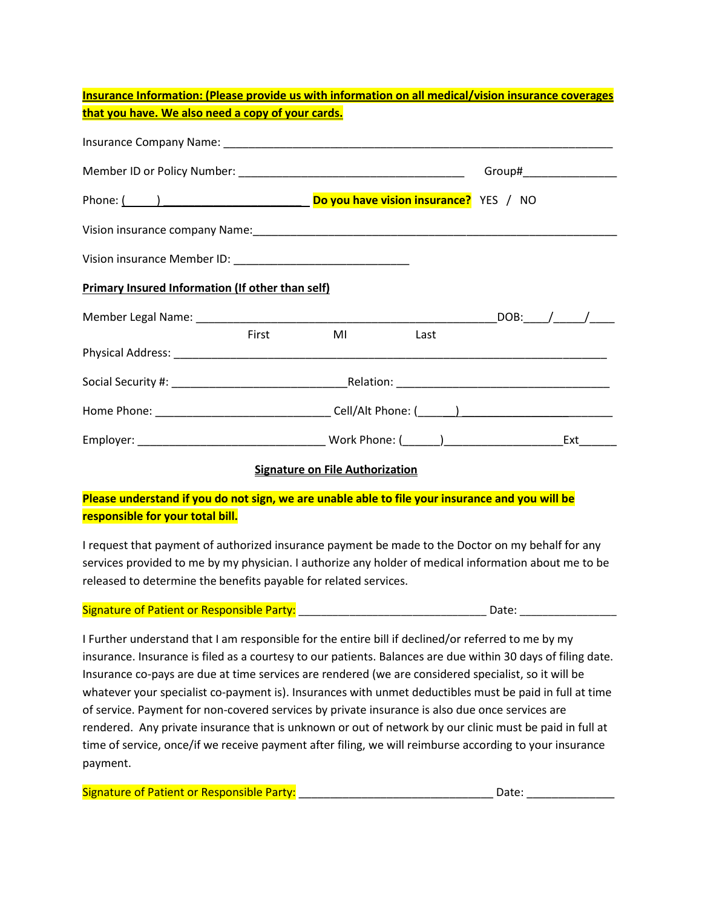| <b>Insurance Information: (Please provide us with information on all medical/vision insurance coverages</b>                                                                                                                   |       |                                        |                                                                                                                |  |  |
|-------------------------------------------------------------------------------------------------------------------------------------------------------------------------------------------------------------------------------|-------|----------------------------------------|----------------------------------------------------------------------------------------------------------------|--|--|
| that you have. We also need a copy of your cards.                                                                                                                                                                             |       |                                        |                                                                                                                |  |  |
|                                                                                                                                                                                                                               |       |                                        |                                                                                                                |  |  |
|                                                                                                                                                                                                                               |       |                                        |                                                                                                                |  |  |
| Phone: (about the set of the set of the set of the set of the set of the set of the power power and power and power set of the set of the set of the set of the set of the set of the set of the set of the set of the set of |       |                                        |                                                                                                                |  |  |
|                                                                                                                                                                                                                               |       |                                        |                                                                                                                |  |  |
|                                                                                                                                                                                                                               |       |                                        |                                                                                                                |  |  |
| <b>Primary Insured Information (If other than self)</b>                                                                                                                                                                       |       |                                        |                                                                                                                |  |  |
|                                                                                                                                                                                                                               |       |                                        |                                                                                                                |  |  |
|                                                                                                                                                                                                                               | First | ML                                     | and the books of the basic control of the basic series of the basic series of the basic series of the basic se |  |  |
|                                                                                                                                                                                                                               |       |                                        |                                                                                                                |  |  |
|                                                                                                                                                                                                                               |       |                                        |                                                                                                                |  |  |
|                                                                                                                                                                                                                               |       |                                        |                                                                                                                |  |  |
|                                                                                                                                                                                                                               |       |                                        |                                                                                                                |  |  |
|                                                                                                                                                                                                                               |       | <b>Signature on File Authorization</b> |                                                                                                                |  |  |

**Please understand if you do not sign, we are unable able to file your insurance and you will be responsible for your total bill.**

I request that payment of authorized insurance payment be made to the Doctor on my behalf for any services provided to me by my physician. I authorize any holder of medical information about me to be released to determine the benefits payable for related services.

| Signature of Patient or Responsible Party: |  |
|--------------------------------------------|--|
|                                            |  |

I Further understand that I am responsible for the entire bill if declined/or referred to me by my insurance. Insurance is filed as a courtesy to our patients. Balances are due within 30 days of filing date. Insurance co-pays are due at time services are rendered (we are considered specialist, so it will be whatever your specialist co-payment is). Insurances with unmet deductibles must be paid in full at time of service. Payment for non-covered services by private insurance is also due once services are rendered. Any private insurance that is unknown or out of network by our clinic must be paid in full at time of service, once/if we receive payment after filing, we will reimburse according to your insurance payment.

| <b>Signature of Patient or Responsible Party:</b> | Date: |
|---------------------------------------------------|-------|
|                                                   |       |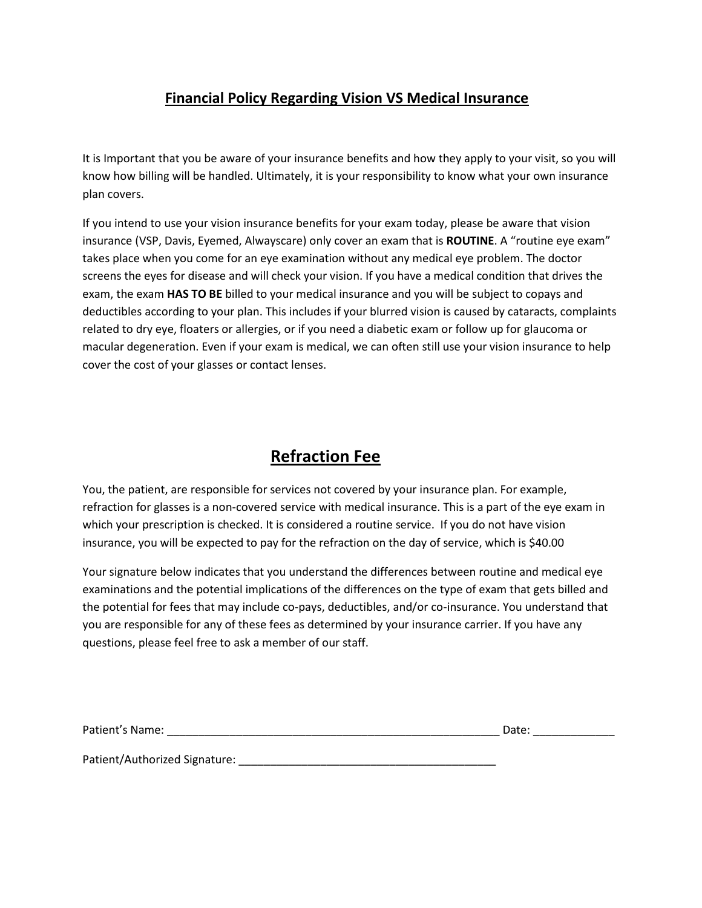## **Financial Policy Regarding Vision VS Medical Insurance**

It is Important that you be aware of your insurance benefits and how they apply to your visit, so you will know how billing will be handled. Ultimately, it is your responsibility to know what your own insurance plan covers.

If you intend to use your vision insurance benefits for your exam today, please be aware that vision insurance (VSP, Davis, Eyemed, Alwayscare) only cover an exam that is **ROUTINE**. A "routine eye exam" takes place when you come for an eye examination without any medical eye problem. The doctor screens the eyes for disease and will check your vision. If you have a medical condition that drives the exam, the exam **HAS TO BE** billed to your medical insurance and you will be subject to copays and deductibles according to your plan. This includes if your blurred vision is caused by cataracts, complaints related to dry eye, floaters or allergies, or if you need a diabetic exam or follow up for glaucoma or macular degeneration. Even if your exam is medical, we can often still use your vision insurance to help cover the cost of your glasses or contact lenses.

# **Refraction Fee**

You, the patient, are responsible for services not covered by your insurance plan. For example, refraction for glasses is a non-covered service with medical insurance. This is a part of the eye exam in which your prescription is checked. It is considered a routine service. If you do not have vision insurance, you will be expected to pay for the refraction on the day of service, which is \$40.00

Your signature below indicates that you understand the differences between routine and medical eye examinations and the potential implications of the differences on the type of exam that gets billed and the potential for fees that may include co-pays, deductibles, and/or co-insurance. You understand that you are responsible for any of these fees as determined by your insurance carrier. If you have any questions, please feel free to ask a member of our staff.

| Patient's Name:               | Date: |
|-------------------------------|-------|
|                               |       |
| Patient/Authorized Signature: |       |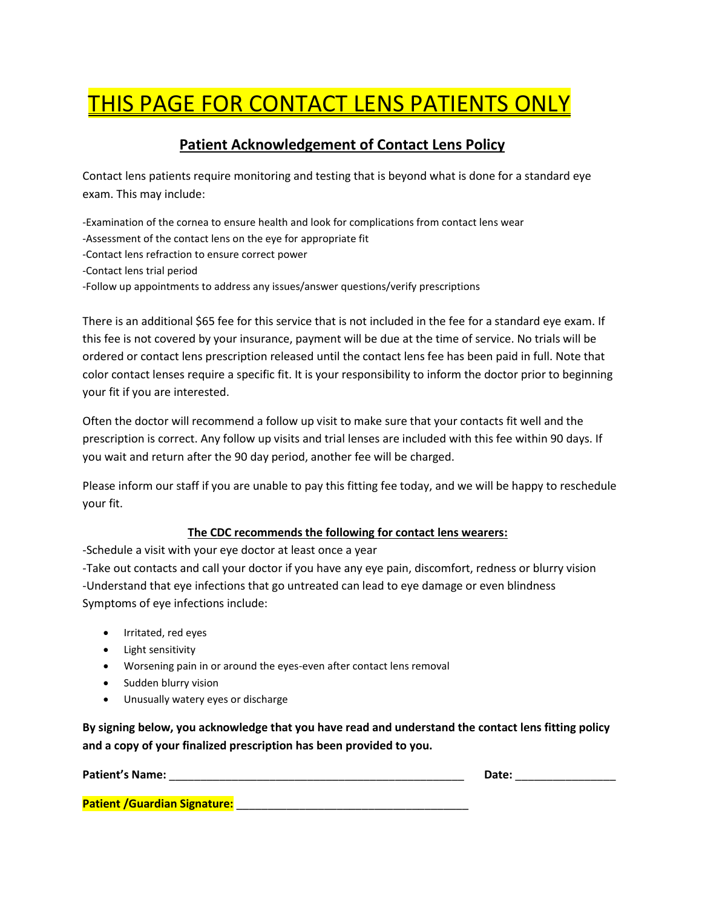# THIS PAGE FOR CONTACT LENS PATIENTS ONLY

# **Patient Acknowledgement of Contact Lens Policy**

Contact lens patients require monitoring and testing that is beyond what is done for a standard eye exam. This may include:

-Examination of the cornea to ensure health and look for complications from contact lens wear -Assessment of the contact lens on the eye for appropriate fit -Contact lens refraction to ensure correct power -Contact lens trial period -Follow up appointments to address any issues/answer questions/verify prescriptions

There is an additional \$65 fee for this service that is not included in the fee for a standard eye exam. If this fee is not covered by your insurance, payment will be due at the time of service. No trials will be ordered or contact lens prescription released until the contact lens fee has been paid in full. Note that color contact lenses require a specific fit. It is your responsibility to inform the doctor prior to beginning your fit if you are interested.

Often the doctor will recommend a follow up visit to make sure that your contacts fit well and the prescription is correct. Any follow up visits and trial lenses are included with this fee within 90 days. If you wait and return after the 90 day period, another fee will be charged.

Please inform our staff if you are unable to pay this fitting fee today, and we will be happy to reschedule your fit.

### **The CDC recommends the following for contact lens wearers:**

-Schedule a visit with your eye doctor at least once a year

-Take out contacts and call your doctor if you have any eye pain, discomfort, redness or blurry vision -Understand that eye infections that go untreated can lead to eye damage or even blindness Symptoms of eye infections include:

- Irritated, red eyes
- Light sensitivity
- Worsening pain in or around the eyes-even after contact lens removal
- Sudden blurry vision
- Unusually watery eyes or discharge

**By signing below, you acknowledge that you have read and understand the contact lens fitting policy and a copy of your finalized prescription has been provided to you.**

**Patient's Name:** \_\_\_\_\_\_\_\_\_\_\_\_\_\_\_\_\_\_\_\_\_\_\_\_\_\_\_\_\_\_\_\_\_\_\_\_\_\_\_\_\_\_\_\_\_\_\_ **Date:** \_\_\_\_\_\_\_\_\_\_\_\_\_\_\_\_

**Patient /Guardian Signature: with a straight of the straight of the straight of the straight of the straight of the straight of the straight of the straight of the straight of the straight of the straight of the straigh**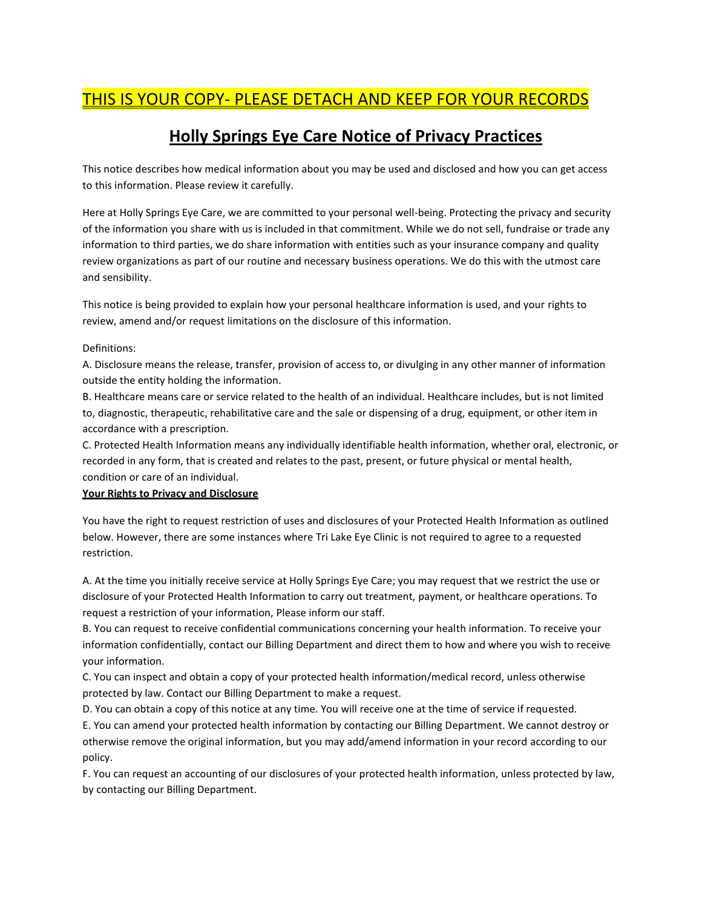# THIS IS YOUR COPY- PLEASE DETACH AND KEEP FOR YOUR RECORDS

# **Holly Springs Eye Care Notice of Privacy Practices**

This notice describes how medical information about you may be used and disclosed and how you can get access to this information. Please review it carefully.

Here at Holly Springs Eye Care, we are committed to your personal well-being. Protecting the privacy and security of the information you share with us is included in that commitment. While we do not sell, fundraise or trade any information to third parties, we do share information with entities such as your insurance company and quality review organizations as part of our routine and necessary business operations. We do this with the utmost care and sensibility.

This notice is being provided to explain how your personal healthcare information is used, and your rights to review, amend and/or request limitations on the disclosure of this information.

#### Definitions:

A. Disclosure means the release, transfer, provision of access to, or divulging in any other manner of information outside the entity holding the information.

B. Healthcare means care or service related to the health of an individual. Healthcare includes, but is not limited to, diagnostic, therapeutic, rehabilitative care and the sale or dispensing of a drug, equipment, or other item in accordance with a prescription.

C. Protected Health Information means any individually identifiable health information, whether oral, electronic, or recorded in any form, that is created and relates to the past, present, or future physical or mental health, condition or care of an individual.

#### **Your Rights to Privacy and Disclosure**

You have the right to request restriction of uses and disclosures of your Protected Health Information as outlined below. However, there are some instances where Tri Lake Eye Clinic is not required to agree to a requested restriction.

A. At the time you initially receive service at Holly Springs Eye Care; you may request that we restrict the use or disclosure of your Protected Health Information to carry out treatment, payment, or healthcare operations. To request a restriction of your information, Please inform our staff.

B. You can request to receive confidential communications concerning your health information. To receive your information confidentially, contact our Billing Department and direct them to how and where you wish to receive your information.

C. You can inspect and obtain a copy of your protected health information/medical record, unless otherwise protected by law. Contact our Billing Department to make a request.

D. You can obtain a copy of this notice at any time. You will receive one at the time of service if requested.

E. You can amend your protected health information by contacting our Billing Department. We cannot destroy or otherwise remove the original information, but you may add/amend information in your record according to our policy.

F. You can request an accounting of our disclosures of your protected health information, unless protected by law, by contacting our Billing Department.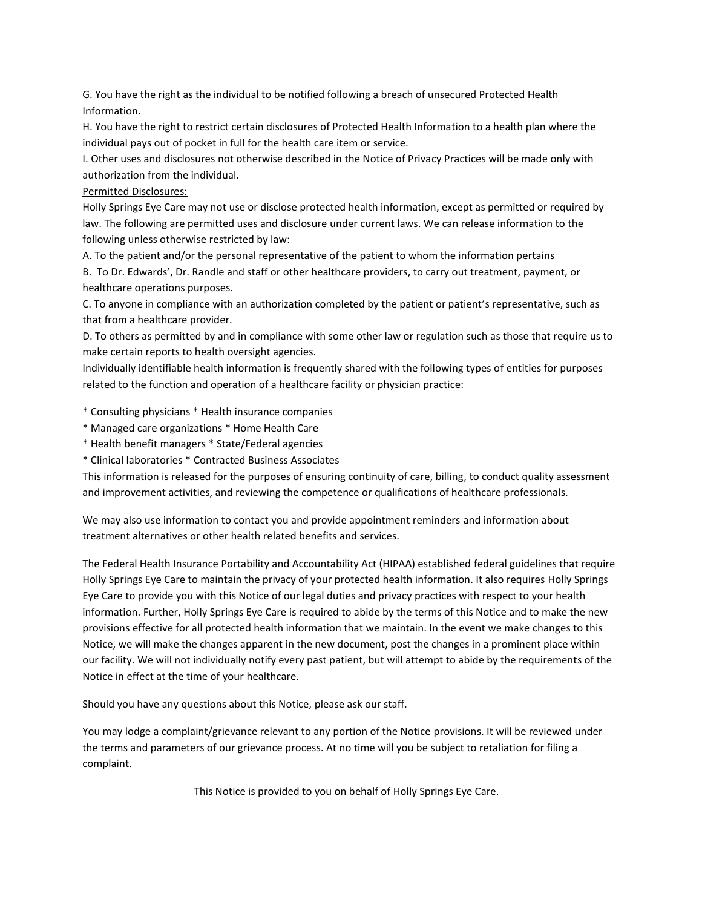G. You have the right as the individual to be notified following a breach of unsecured Protected Health Information.

H. You have the right to restrict certain disclosures of Protected Health Information to a health plan where the individual pays out of pocket in full for the health care item or service.

I. Other uses and disclosures not otherwise described in the Notice of Privacy Practices will be made only with authorization from the individual.

#### Permitted Disclosures:

Holly Springs Eye Care may not use or disclose protected health information, except as permitted or required by law. The following are permitted uses and disclosure under current laws. We can release information to the following unless otherwise restricted by law:

A. To the patient and/or the personal representative of the patient to whom the information pertains

B. To Dr. Edwards', Dr. Randle and staff or other healthcare providers, to carry out treatment, payment, or healthcare operations purposes.

C. To anyone in compliance with an authorization completed by the patient or patient's representative, such as that from a healthcare provider.

D. To others as permitted by and in compliance with some other law or regulation such as those that require us to make certain reports to health oversight agencies.

Individually identifiable health information is frequently shared with the following types of entities for purposes related to the function and operation of a healthcare facility or physician practice:

\* Consulting physicians \* Health insurance companies

- \* Managed care organizations \* Home Health Care
- \* Health benefit managers \* State/Federal agencies
- \* Clinical laboratories \* Contracted Business Associates

This information is released for the purposes of ensuring continuity of care, billing, to conduct quality assessment and improvement activities, and reviewing the competence or qualifications of healthcare professionals.

We may also use information to contact you and provide appointment reminders and information about treatment alternatives or other health related benefits and services.

The Federal Health Insurance Portability and Accountability Act (HIPAA) established federal guidelines that require Holly Springs Eye Care to maintain the privacy of your protected health information. It also requires Holly Springs Eye Care to provide you with this Notice of our legal duties and privacy practices with respect to your health information. Further, Holly Springs Eye Care is required to abide by the terms of this Notice and to make the new provisions effective for all protected health information that we maintain. In the event we make changes to this Notice, we will make the changes apparent in the new document, post the changes in a prominent place within our facility. We will not individually notify every past patient, but will attempt to abide by the requirements of the Notice in effect at the time of your healthcare.

Should you have any questions about this Notice, please ask our staff.

You may lodge a complaint/grievance relevant to any portion of the Notice provisions. It will be reviewed under the terms and parameters of our grievance process. At no time will you be subject to retaliation for filing a complaint.

This Notice is provided to you on behalf of Holly Springs Eye Care.